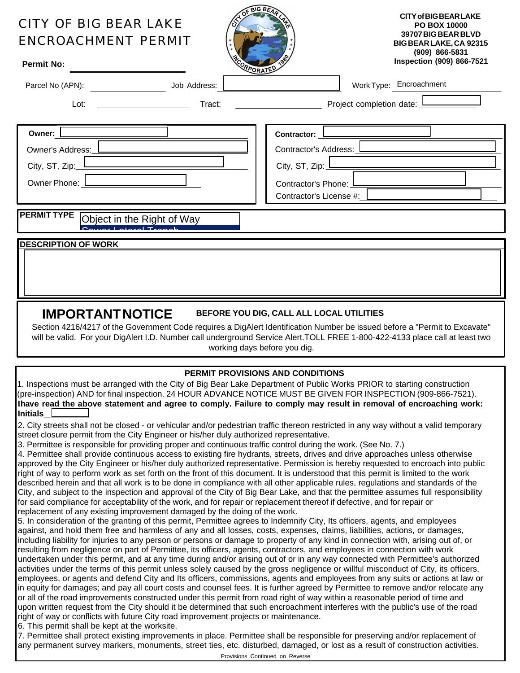# CITY OF BIG BEAR LAKE ENCROACHMENT PERMIT



#### **CITY of BIG BEAR LAKE PO BOX 10000 39707 BIG BEAR BLVD BIG BEAR LAKE, CA 92315 (909) 866-5831 Inspection (909) 866-7521 Permit No:**

| .  . <b></b> .                                                                                                             |              | RPORATED                                                                                                               |
|----------------------------------------------------------------------------------------------------------------------------|--------------|------------------------------------------------------------------------------------------------------------------------|
| Parcel No (APN):                                                                                                           | Job Address: | Work Type: Encroachment                                                                                                |
| Lot:                                                                                                                       | Tract:       | Project completion date: <u>Lessen</u>                                                                                 |
| Owner:<br>Owner's Address: L________<br>City, ST, Zip: $\frac{1}{\sqrt{1-\frac{1}{2}}$<br>Owner Phone: L__________________ |              | Contractor's Address: L<br>City, ST, Zip: $\underline{\mathsf{L}}$<br>Contractor's Phone: L<br>Contractor's License #: |
| <b>PERMITTYPE</b> Object in the Right of Way                                                                               |              |                                                                                                                        |
| <b>DESCRIPTION OF WORK</b>                                                                                                 |              |                                                                                                                        |

## **IMPORTANT NOTICE**

## **BEFORE YOU DIG, CALL ALL LOCAL UTILITIES**

Section 4216/4217 of the Government Code requires a DigAlert Identification Number be issued before a "Permit to Excavate" will be valid. For your DigAlert I.D. Number call underground Service Alert.TOLL FREE 1-800-422-4133 place call at least two working days before you dig.

### **PERMIT PROVISIONS AND CONDITIONS**

1. Inspections must be arranged with the City of Big Bear Lake Department of Public Works PRIOR to starting construction (pre-inspection) AND for final inspection. 24 HOUR ADVANCE NOTICE MUST BE GIVEN FOR INSPECTION (909-866-7521). 2. City streets shall not be closed - or vehicular and/or pedestrian traffic thereon restricted in any way without a valid temporary street closure permit from the City Engineer or his/her duly authorized representative. Ihave read the above statement and agree to comply. Failure to comply may result in removal of encroaching work: **Initials\_\_\_\_\_\_\_\_\_\_**

3. Permittee is responsible for providing proper and continuous traffic control during the work. (See No. 7.)

4. Permittee shall provide continuous access to existing fire hydrants, streets, drives and drive approaches unless otherwise approved by the City Engineer or his/her duly authorized representative. Permission is hereby requested to encroach into public right of way to perform work as set forth on the front of this document. It is understood that this permit is limited to the work described herein and that all work is to be done in compliance with all other applicable rules, regulations and standards of the City, and subject to the inspection and approval of the City of Big Bear Lake, and that the permittee assumes full responsibility for said compliance for acceptability of the work, and for repair or replacement thereof if defective, and for repair or replacement of any existing improvement damaged by the doing of the work.

5. In consideration of the granting of this permit, Permittee agrees to Indemnify City, Its officers, agents, and employees against, and hold them free and harmless of any and all losses, costs, expenses, claims, liabilities, actions, or damages, including liability for injuries to any person or persons or damage to property of any kind in connection with, arising out of, or resulting from negligence on part of Permittee, its officers, agents, contractors, and employees in connection with work undertaken under this permit, and at any time during and/or arising out of or in any way connected with Permittee's authorized activities under the terms of this permit unless solely caused by the gross negligence or willful misconduct of City, its officers, employees, or agents and defend City and Its officers, commissions, agents and employees from any suits or actions at law or in equity for damages; and pay all court costs and counsel fees. It is further agreed by Permittee to remove and/or relocate any or all of the road improvements constructed under this permit from road right of way within a reasonable period of time and upon written request from the City should it be determined that such encroachment interferes with the public's use of the road right of way or conflicts with future City road improvement projects or maintenance.

6. This permit shall be kept at the worksite.

7. Permittee shall protect existing improvements in place. Permittee shall be responsible for preserving and/or replacement of any permanent survey markers, monuments, street ties, etc. disturbed, damaged, or lost as a result of construction activities.

Provisions Continued on Reverse